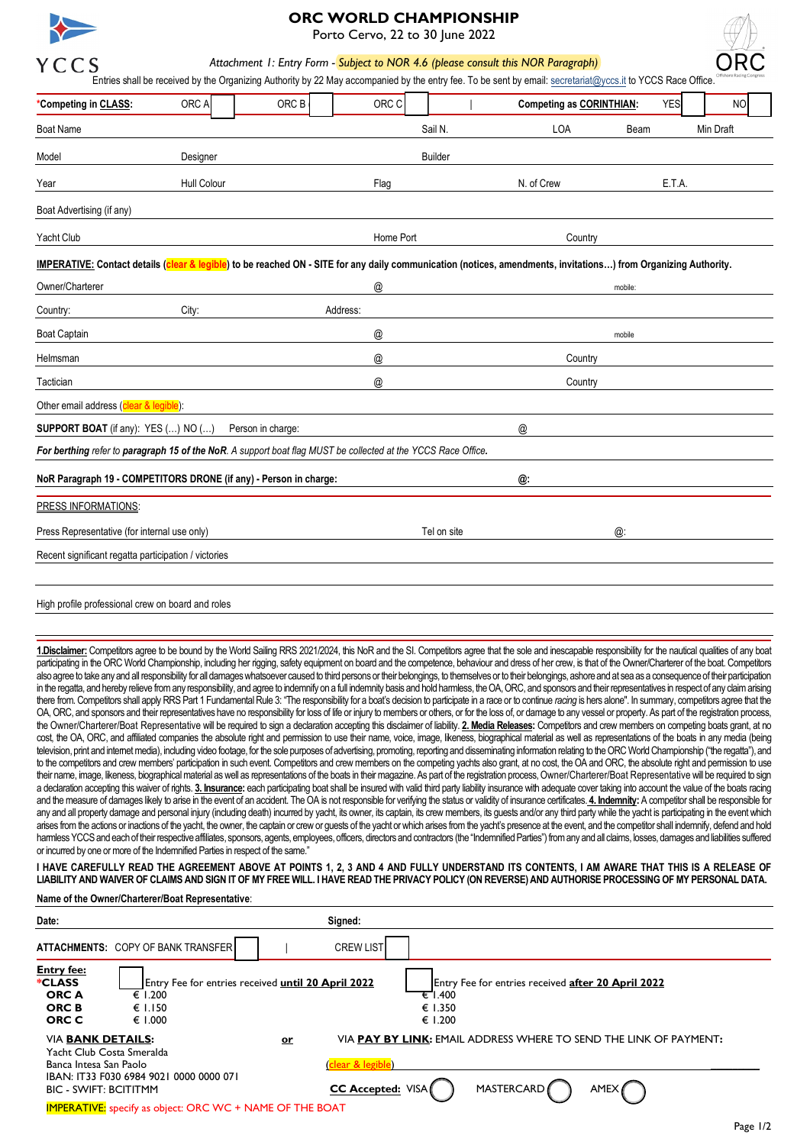

# **ORC WORLD CHAMPIONSHIP**

Porto Cervo, 22 to 30 June 2022

*Attachment 1: Entry Form - Subject to NOR 4.6 (please consult this NOR Paragraph)*

|                                                                                                                                                                                                                                                                                                                                                                                                                                                                                                                                                                                                                                                                                                                                                                                                                                                                                                                                                                                                                                                                                                                                                                                                                                                                                                                                                                                                                                                                                                                                                                                                                                                                                                                                                                                                                                                                                                                                                                                                                                                                                                                                                                                                                                                                                                                                                                                                                                                                                                                                                                                                                                                                                                                                                                                                                                                                                                                                                                                                                                                                                                                                                                                                                                                                                                                                                                                                                                                                                                                                                                                                                     |             |                   |                           |                | Entries shall be received by the Organizing Authority by 22 May accompanied by the entry fee. To be sent by email: secretariat@yccs.it to YCCS Race Office. |            | Offshore Racing Congress |  |
|---------------------------------------------------------------------------------------------------------------------------------------------------------------------------------------------------------------------------------------------------------------------------------------------------------------------------------------------------------------------------------------------------------------------------------------------------------------------------------------------------------------------------------------------------------------------------------------------------------------------------------------------------------------------------------------------------------------------------------------------------------------------------------------------------------------------------------------------------------------------------------------------------------------------------------------------------------------------------------------------------------------------------------------------------------------------------------------------------------------------------------------------------------------------------------------------------------------------------------------------------------------------------------------------------------------------------------------------------------------------------------------------------------------------------------------------------------------------------------------------------------------------------------------------------------------------------------------------------------------------------------------------------------------------------------------------------------------------------------------------------------------------------------------------------------------------------------------------------------------------------------------------------------------------------------------------------------------------------------------------------------------------------------------------------------------------------------------------------------------------------------------------------------------------------------------------------------------------------------------------------------------------------------------------------------------------------------------------------------------------------------------------------------------------------------------------------------------------------------------------------------------------------------------------------------------------------------------------------------------------------------------------------------------------------------------------------------------------------------------------------------------------------------------------------------------------------------------------------------------------------------------------------------------------------------------------------------------------------------------------------------------------------------------------------------------------------------------------------------------------------------------------------------------------------------------------------------------------------------------------------------------------------------------------------------------------------------------------------------------------------------------------------------------------------------------------------------------------------------------------------------------------------------------------------------------------------------------------------------------------|-------------|-------------------|---------------------------|----------------|-------------------------------------------------------------------------------------------------------------------------------------------------------------|------------|--------------------------|--|
| *Competing in CLASS:                                                                                                                                                                                                                                                                                                                                                                                                                                                                                                                                                                                                                                                                                                                                                                                                                                                                                                                                                                                                                                                                                                                                                                                                                                                                                                                                                                                                                                                                                                                                                                                                                                                                                                                                                                                                                                                                                                                                                                                                                                                                                                                                                                                                                                                                                                                                                                                                                                                                                                                                                                                                                                                                                                                                                                                                                                                                                                                                                                                                                                                                                                                                                                                                                                                                                                                                                                                                                                                                                                                                                                                                | ORC A       | ORC B             | ORC C                     |                | <b>Competing as CORINTHIAN:</b>                                                                                                                             | <b>YES</b> | NO                       |  |
| <b>Boat Name</b>                                                                                                                                                                                                                                                                                                                                                                                                                                                                                                                                                                                                                                                                                                                                                                                                                                                                                                                                                                                                                                                                                                                                                                                                                                                                                                                                                                                                                                                                                                                                                                                                                                                                                                                                                                                                                                                                                                                                                                                                                                                                                                                                                                                                                                                                                                                                                                                                                                                                                                                                                                                                                                                                                                                                                                                                                                                                                                                                                                                                                                                                                                                                                                                                                                                                                                                                                                                                                                                                                                                                                                                                    |             |                   |                           | Sail N.        | LOA                                                                                                                                                         | Beam       | Min Draft                |  |
| Model                                                                                                                                                                                                                                                                                                                                                                                                                                                                                                                                                                                                                                                                                                                                                                                                                                                                                                                                                                                                                                                                                                                                                                                                                                                                                                                                                                                                                                                                                                                                                                                                                                                                                                                                                                                                                                                                                                                                                                                                                                                                                                                                                                                                                                                                                                                                                                                                                                                                                                                                                                                                                                                                                                                                                                                                                                                                                                                                                                                                                                                                                                                                                                                                                                                                                                                                                                                                                                                                                                                                                                                                               | Designer    |                   |                           | <b>Builder</b> |                                                                                                                                                             |            |                          |  |
| Year                                                                                                                                                                                                                                                                                                                                                                                                                                                                                                                                                                                                                                                                                                                                                                                                                                                                                                                                                                                                                                                                                                                                                                                                                                                                                                                                                                                                                                                                                                                                                                                                                                                                                                                                                                                                                                                                                                                                                                                                                                                                                                                                                                                                                                                                                                                                                                                                                                                                                                                                                                                                                                                                                                                                                                                                                                                                                                                                                                                                                                                                                                                                                                                                                                                                                                                                                                                                                                                                                                                                                                                                                | Hull Colour |                   | Flag                      |                | N. of Crew                                                                                                                                                  | E.T.A.     |                          |  |
| Boat Advertising (if any)                                                                                                                                                                                                                                                                                                                                                                                                                                                                                                                                                                                                                                                                                                                                                                                                                                                                                                                                                                                                                                                                                                                                                                                                                                                                                                                                                                                                                                                                                                                                                                                                                                                                                                                                                                                                                                                                                                                                                                                                                                                                                                                                                                                                                                                                                                                                                                                                                                                                                                                                                                                                                                                                                                                                                                                                                                                                                                                                                                                                                                                                                                                                                                                                                                                                                                                                                                                                                                                                                                                                                                                           |             |                   |                           |                |                                                                                                                                                             |            |                          |  |
| Yacht Club                                                                                                                                                                                                                                                                                                                                                                                                                                                                                                                                                                                                                                                                                                                                                                                                                                                                                                                                                                                                                                                                                                                                                                                                                                                                                                                                                                                                                                                                                                                                                                                                                                                                                                                                                                                                                                                                                                                                                                                                                                                                                                                                                                                                                                                                                                                                                                                                                                                                                                                                                                                                                                                                                                                                                                                                                                                                                                                                                                                                                                                                                                                                                                                                                                                                                                                                                                                                                                                                                                                                                                                                          |             |                   | Home Port                 |                | Country                                                                                                                                                     |            |                          |  |
| IMPERATIVE: Contact details (clear & legible) to be reached ON - SITE for any daily communication (notices, amendments, invitations) from Organizing Authority.                                                                                                                                                                                                                                                                                                                                                                                                                                                                                                                                                                                                                                                                                                                                                                                                                                                                                                                                                                                                                                                                                                                                                                                                                                                                                                                                                                                                                                                                                                                                                                                                                                                                                                                                                                                                                                                                                                                                                                                                                                                                                                                                                                                                                                                                                                                                                                                                                                                                                                                                                                                                                                                                                                                                                                                                                                                                                                                                                                                                                                                                                                                                                                                                                                                                                                                                                                                                                                                     |             |                   |                           |                |                                                                                                                                                             |            |                          |  |
| Owner/Charterer                                                                                                                                                                                                                                                                                                                                                                                                                                                                                                                                                                                                                                                                                                                                                                                                                                                                                                                                                                                                                                                                                                                                                                                                                                                                                                                                                                                                                                                                                                                                                                                                                                                                                                                                                                                                                                                                                                                                                                                                                                                                                                                                                                                                                                                                                                                                                                                                                                                                                                                                                                                                                                                                                                                                                                                                                                                                                                                                                                                                                                                                                                                                                                                                                                                                                                                                                                                                                                                                                                                                                                                                     |             |                   | @                         |                |                                                                                                                                                             | mobile:    |                          |  |
| Country:                                                                                                                                                                                                                                                                                                                                                                                                                                                                                                                                                                                                                                                                                                                                                                                                                                                                                                                                                                                                                                                                                                                                                                                                                                                                                                                                                                                                                                                                                                                                                                                                                                                                                                                                                                                                                                                                                                                                                                                                                                                                                                                                                                                                                                                                                                                                                                                                                                                                                                                                                                                                                                                                                                                                                                                                                                                                                                                                                                                                                                                                                                                                                                                                                                                                                                                                                                                                                                                                                                                                                                                                            | City:       |                   | Address:                  |                |                                                                                                                                                             |            |                          |  |
| <b>Boat Captain</b>                                                                                                                                                                                                                                                                                                                                                                                                                                                                                                                                                                                                                                                                                                                                                                                                                                                                                                                                                                                                                                                                                                                                                                                                                                                                                                                                                                                                                                                                                                                                                                                                                                                                                                                                                                                                                                                                                                                                                                                                                                                                                                                                                                                                                                                                                                                                                                                                                                                                                                                                                                                                                                                                                                                                                                                                                                                                                                                                                                                                                                                                                                                                                                                                                                                                                                                                                                                                                                                                                                                                                                                                 |             |                   | $^\text{\textregistered}$ |                |                                                                                                                                                             | mobile     |                          |  |
| Helmsman                                                                                                                                                                                                                                                                                                                                                                                                                                                                                                                                                                                                                                                                                                                                                                                                                                                                                                                                                                                                                                                                                                                                                                                                                                                                                                                                                                                                                                                                                                                                                                                                                                                                                                                                                                                                                                                                                                                                                                                                                                                                                                                                                                                                                                                                                                                                                                                                                                                                                                                                                                                                                                                                                                                                                                                                                                                                                                                                                                                                                                                                                                                                                                                                                                                                                                                                                                                                                                                                                                                                                                                                            |             |                   | @                         |                | Country                                                                                                                                                     |            |                          |  |
| Tactician                                                                                                                                                                                                                                                                                                                                                                                                                                                                                                                                                                                                                                                                                                                                                                                                                                                                                                                                                                                                                                                                                                                                                                                                                                                                                                                                                                                                                                                                                                                                                                                                                                                                                                                                                                                                                                                                                                                                                                                                                                                                                                                                                                                                                                                                                                                                                                                                                                                                                                                                                                                                                                                                                                                                                                                                                                                                                                                                                                                                                                                                                                                                                                                                                                                                                                                                                                                                                                                                                                                                                                                                           |             |                   | @                         |                | Country                                                                                                                                                     |            |                          |  |
| Other email address (clear & legible):                                                                                                                                                                                                                                                                                                                                                                                                                                                                                                                                                                                                                                                                                                                                                                                                                                                                                                                                                                                                                                                                                                                                                                                                                                                                                                                                                                                                                                                                                                                                                                                                                                                                                                                                                                                                                                                                                                                                                                                                                                                                                                                                                                                                                                                                                                                                                                                                                                                                                                                                                                                                                                                                                                                                                                                                                                                                                                                                                                                                                                                                                                                                                                                                                                                                                                                                                                                                                                                                                                                                                                              |             |                   |                           |                |                                                                                                                                                             |            |                          |  |
| <b>SUPPORT BOAT</b> (if any): YES () NO ()                                                                                                                                                                                                                                                                                                                                                                                                                                                                                                                                                                                                                                                                                                                                                                                                                                                                                                                                                                                                                                                                                                                                                                                                                                                                                                                                                                                                                                                                                                                                                                                                                                                                                                                                                                                                                                                                                                                                                                                                                                                                                                                                                                                                                                                                                                                                                                                                                                                                                                                                                                                                                                                                                                                                                                                                                                                                                                                                                                                                                                                                                                                                                                                                                                                                                                                                                                                                                                                                                                                                                                          |             | Person in charge: |                           |                | $^{\textregistered}$                                                                                                                                        |            |                          |  |
| For berthing refer to paragraph 15 of the NoR. A support boat flag MUST be collected at the YCCS Race Office.                                                                                                                                                                                                                                                                                                                                                                                                                                                                                                                                                                                                                                                                                                                                                                                                                                                                                                                                                                                                                                                                                                                                                                                                                                                                                                                                                                                                                                                                                                                                                                                                                                                                                                                                                                                                                                                                                                                                                                                                                                                                                                                                                                                                                                                                                                                                                                                                                                                                                                                                                                                                                                                                                                                                                                                                                                                                                                                                                                                                                                                                                                                                                                                                                                                                                                                                                                                                                                                                                                       |             |                   |                           |                |                                                                                                                                                             |            |                          |  |
| NoR Paragraph 19 - COMPETITORS DRONE (if any) - Person in charge:                                                                                                                                                                                                                                                                                                                                                                                                                                                                                                                                                                                                                                                                                                                                                                                                                                                                                                                                                                                                                                                                                                                                                                                                                                                                                                                                                                                                                                                                                                                                                                                                                                                                                                                                                                                                                                                                                                                                                                                                                                                                                                                                                                                                                                                                                                                                                                                                                                                                                                                                                                                                                                                                                                                                                                                                                                                                                                                                                                                                                                                                                                                                                                                                                                                                                                                                                                                                                                                                                                                                                   |             |                   |                           |                | @:                                                                                                                                                          |            |                          |  |
| PRESS INFORMATIONS:                                                                                                                                                                                                                                                                                                                                                                                                                                                                                                                                                                                                                                                                                                                                                                                                                                                                                                                                                                                                                                                                                                                                                                                                                                                                                                                                                                                                                                                                                                                                                                                                                                                                                                                                                                                                                                                                                                                                                                                                                                                                                                                                                                                                                                                                                                                                                                                                                                                                                                                                                                                                                                                                                                                                                                                                                                                                                                                                                                                                                                                                                                                                                                                                                                                                                                                                                                                                                                                                                                                                                                                                 |             |                   |                           |                |                                                                                                                                                             |            |                          |  |
| Press Representative (for internal use only)                                                                                                                                                                                                                                                                                                                                                                                                                                                                                                                                                                                                                                                                                                                                                                                                                                                                                                                                                                                                                                                                                                                                                                                                                                                                                                                                                                                                                                                                                                                                                                                                                                                                                                                                                                                                                                                                                                                                                                                                                                                                                                                                                                                                                                                                                                                                                                                                                                                                                                                                                                                                                                                                                                                                                                                                                                                                                                                                                                                                                                                                                                                                                                                                                                                                                                                                                                                                                                                                                                                                                                        |             |                   |                           | Tel on site    |                                                                                                                                                             | @          |                          |  |
| Recent significant regatta participation / victories                                                                                                                                                                                                                                                                                                                                                                                                                                                                                                                                                                                                                                                                                                                                                                                                                                                                                                                                                                                                                                                                                                                                                                                                                                                                                                                                                                                                                                                                                                                                                                                                                                                                                                                                                                                                                                                                                                                                                                                                                                                                                                                                                                                                                                                                                                                                                                                                                                                                                                                                                                                                                                                                                                                                                                                                                                                                                                                                                                                                                                                                                                                                                                                                                                                                                                                                                                                                                                                                                                                                                                |             |                   |                           |                |                                                                                                                                                             |            |                          |  |
|                                                                                                                                                                                                                                                                                                                                                                                                                                                                                                                                                                                                                                                                                                                                                                                                                                                                                                                                                                                                                                                                                                                                                                                                                                                                                                                                                                                                                                                                                                                                                                                                                                                                                                                                                                                                                                                                                                                                                                                                                                                                                                                                                                                                                                                                                                                                                                                                                                                                                                                                                                                                                                                                                                                                                                                                                                                                                                                                                                                                                                                                                                                                                                                                                                                                                                                                                                                                                                                                                                                                                                                                                     |             |                   |                           |                |                                                                                                                                                             |            |                          |  |
| High profile professional crew on board and roles                                                                                                                                                                                                                                                                                                                                                                                                                                                                                                                                                                                                                                                                                                                                                                                                                                                                                                                                                                                                                                                                                                                                                                                                                                                                                                                                                                                                                                                                                                                                                                                                                                                                                                                                                                                                                                                                                                                                                                                                                                                                                                                                                                                                                                                                                                                                                                                                                                                                                                                                                                                                                                                                                                                                                                                                                                                                                                                                                                                                                                                                                                                                                                                                                                                                                                                                                                                                                                                                                                                                                                   |             |                   |                           |                |                                                                                                                                                             |            |                          |  |
| 1.Disclaimer: Competitors agree to be bound by the World Sailing RRS 2021/2024, this NoR and the SI. Competitors agree that the sole and inescapable responsibility for the nautical qualities of any boat<br>participating in the ORC World Championship, including her rigging, safety equipment on board and the competence, behaviour and dress of her crew, is that of the Owner/Charterer of the boat. Competitors<br>also agree to take any and all responsibility for all damages whatsoever caused to third persons or their belongings, to themselves or to their belongings, ashore and at sea as a consequence of their participation<br>in the regatta, and hereby relieve from any responsibility, and agree to indemnify on a full indemnity basis and hold harmless, the OA, ORC, and sponsors and their representatives in respect of any claim arising<br>there from. Competitors shall apply RRS Part 1 Fundamental Rule 3: "The responsibility for a boat's decision to participate in a race or to continue racing is hers alone". In summary, competitors agree that the<br>OA, ORC, and sponsors and their representatives have no responsibility for loss of life or injury to members or others, or for the loss of, or damage to any vessel or property. As part of the registration process,<br>the Owner/Charterer/Boat Representative will be required to sign a declaration accepting this disclaimer of liability. 2. Media Releases: Competitors and crew members on competing boats grant, at no<br>cost, the OA, ORC, and affiliated companies the absolute right and permission to use their name, voice, image, likeness, biographical material as well as representations of the boats in any media (being<br>television, print and internet media), including video footage, for the sole purposes of advertising, promoting, reporting and disseminating information relating to the ORC World Championship ("the regatta"), and<br>to the competitors and crew members' participation in such event. Competitors and crew members on the competing yachts also grant, at no cost, the OA and ORC, the absolute right and permission to use<br>their name, image, likeness, biographical material as well as representations of the boats in their magazine. As part of the registration process, Owner/Charterer/Boat Representative will be required to sign<br>a declaration accepting this waiver of rights. 3. Insurance: each participating boat shall be insured with valid third party liability insurance with adequate cover taking into account the value of the boats racing<br>and the measure of damages likely to arise in the event of an accident. The OA is not responsible for verifying the status or validity of insurance certificates. 4. Indemnity: A competitor shall be responsible for<br>any and all property damage and personal injury (including death) incurred by yacht, its owner, its captain, its crew members, its guests and/or any third party while the yacht is participating in the event which<br>arises from the actions or inactions of the yacht, the owner, the captain or crew or guests of the yacht or which arises from the yacht's presence at the event, and the competitor shall indemnify, defend and hold<br>harmless YCCS and each of their respective affiliates, sponsors, agents, employees, officers, directors and contractors (the "Indemnified Parties") from any and all claims, losses, damages and liabilities suffered<br>or incurred by one or more of the Indemnified Parties in respect of the same." |             |                   |                           |                |                                                                                                                                                             |            |                          |  |

**I HAVE CAREFULLY READ THE AGREEMENT ABOVE AT POINTS 1, 2, 3 AND 4 AND FULLY UNDERSTAND ITS CONTENTS, I AM AWARE THAT THIS IS A RELEASE OF LIABILITY AND WAIVER OF CLAIMS AND SIGN IT OF MY FREE WILL. I HAVE READ THE PRIVACY POLICY (ON REVERSE) AND AUTHORISE PROCESSING OF MY PERSONAL DATA.** 

## **Name of the Owner/Charterer/Boat Representative**:

| Date:                                                                                                           |                                                                                                            |    | Signed:                                     |                                                                                                      |
|-----------------------------------------------------------------------------------------------------------------|------------------------------------------------------------------------------------------------------------|----|---------------------------------------------|------------------------------------------------------------------------------------------------------|
|                                                                                                                 | <b>ATTACHMENTS: COPY OF BANK TRANSFER</b>                                                                  |    | <b>CREW LIST</b>                            |                                                                                                      |
| <b>Entry fee:</b><br>*CLASS<br><b>ORCA</b><br><b>ORCB</b><br>ORC C                                              | Entry Fee for entries received until 20 April 2022<br>€ 1.200<br>€ 1.150<br>€ 1.000                        |    |                                             | Entry Fee for entries received after 20 April 2022<br>.400<br>τ<br>€ 1.350<br>€ 1.200                |
| <b>VIA BANK DETAILS:</b><br>Yacht Club Costa Smeralda<br>Banca Intesa San Paolo<br><b>BIC - SWIFT: BCITITMM</b> | IBAN: IT33 F030 6984 9021 0000 0000 071<br><b>IMPERATIVE:</b> specify as object: ORC WC + NAME OF THE BOAT | or | Clear & legible<br><b>CC Accepted: VISA</b> | VIA PAY BY LINK: EMAIL ADDRESS WHERE TO SEND THE LINK OF PAYMENT:<br>MASTERCARD<br>AMEX <sup>1</sup> |